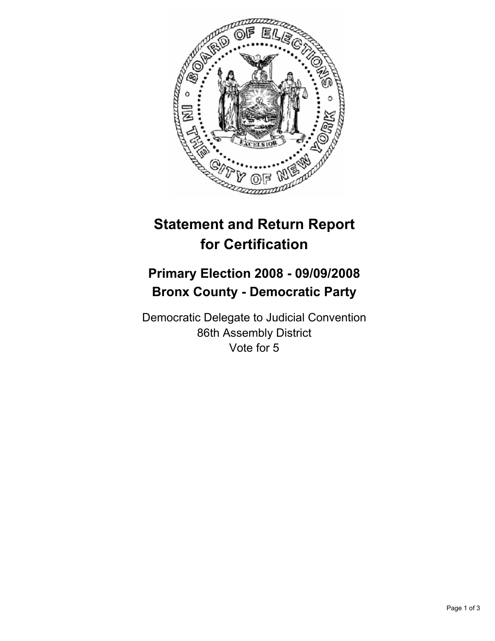

## **Statement and Return Report for Certification**

## **Primary Election 2008 - 09/09/2008 Bronx County - Democratic Party**

Democratic Delegate to Judicial Convention 86th Assembly District Vote for 5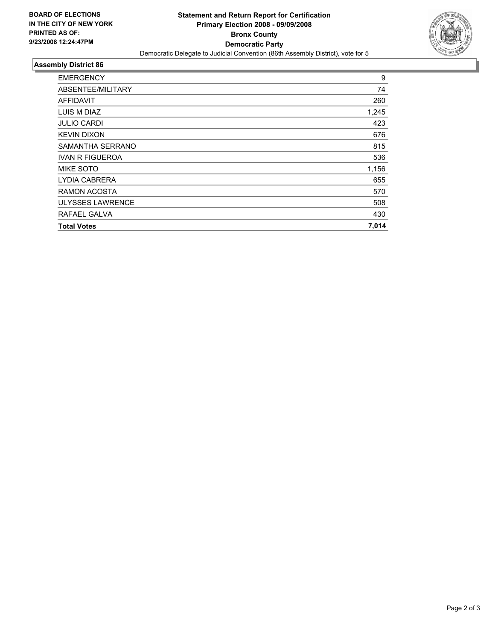

## **Assembly District 86**

| <b>EMERGENCY</b>        | 9     |
|-------------------------|-------|
| ABSENTEE/MILITARY       | 74    |
| <b>AFFIDAVIT</b>        | 260   |
| LUIS M DIAZ             | 1,245 |
| <b>JULIO CARDI</b>      | 423   |
| <b>KEVIN DIXON</b>      | 676   |
| SAMANTHA SERRANO        | 815   |
| <b>IVAN R FIGUEROA</b>  | 536   |
| <b>MIKE SOTO</b>        | 1,156 |
| <b>LYDIA CABRERA</b>    | 655   |
| RAMON ACOSTA            | 570   |
| <b>ULYSSES LAWRENCE</b> | 508   |
| RAFAEL GALVA            | 430   |
| <b>Total Votes</b>      | 7,014 |